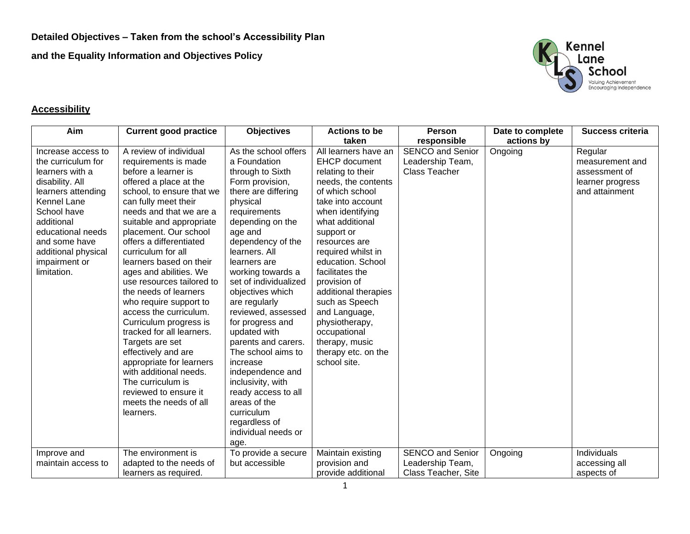**and the Equality Information and Objectives Policy**



## **Accessibility**

| Aim                                                                                                                                                                                                                                           | <b>Current good practice</b>                                                                                                                                                                                                                                                                                                                                                                                                                                                                                                                                                                                                                                                                     | <b>Objectives</b>                                                                                                                                                                                                                                                                                                                                                                                                                                                                                                                                                       | <b>Actions to be</b>                                                                                                                                                                                                                                                                                                                                                                                                                       | <b>Person</b>                                                       | Date to complete | <b>Success criteria</b>                                                           |
|-----------------------------------------------------------------------------------------------------------------------------------------------------------------------------------------------------------------------------------------------|--------------------------------------------------------------------------------------------------------------------------------------------------------------------------------------------------------------------------------------------------------------------------------------------------------------------------------------------------------------------------------------------------------------------------------------------------------------------------------------------------------------------------------------------------------------------------------------------------------------------------------------------------------------------------------------------------|-------------------------------------------------------------------------------------------------------------------------------------------------------------------------------------------------------------------------------------------------------------------------------------------------------------------------------------------------------------------------------------------------------------------------------------------------------------------------------------------------------------------------------------------------------------------------|--------------------------------------------------------------------------------------------------------------------------------------------------------------------------------------------------------------------------------------------------------------------------------------------------------------------------------------------------------------------------------------------------------------------------------------------|---------------------------------------------------------------------|------------------|-----------------------------------------------------------------------------------|
|                                                                                                                                                                                                                                               |                                                                                                                                                                                                                                                                                                                                                                                                                                                                                                                                                                                                                                                                                                  |                                                                                                                                                                                                                                                                                                                                                                                                                                                                                                                                                                         | taken                                                                                                                                                                                                                                                                                                                                                                                                                                      | responsible                                                         | actions by       |                                                                                   |
| Increase access to<br>the curriculum for<br>learners with a<br>disability. All<br>learners attending<br>Kennel Lane<br>School have<br>additional<br>educational needs<br>and some have<br>additional physical<br>impairment or<br>limitation. | A review of individual<br>requirements is made<br>before a learner is<br>offered a place at the<br>school, to ensure that we<br>can fully meet their<br>needs and that we are a<br>suitable and appropriate<br>placement. Our school<br>offers a differentiated<br>curriculum for all<br>learners based on their<br>ages and abilities. We<br>use resources tailored to<br>the needs of learners<br>who require support to<br>access the curriculum.<br>Curriculum progress is<br>tracked for all learners.<br>Targets are set<br>effectively and are<br>appropriate for learners<br>with additional needs.<br>The curriculum is<br>reviewed to ensure it<br>meets the needs of all<br>learners. | As the school offers<br>a Foundation<br>through to Sixth<br>Form provision,<br>there are differing<br>physical<br>requirements<br>depending on the<br>age and<br>dependency of the<br>learners. All<br>learners are<br>working towards a<br>set of individualized<br>objectives which<br>are regularly<br>reviewed, assessed<br>for progress and<br>updated with<br>parents and carers.<br>The school aims to<br>increase<br>independence and<br>inclusivity, with<br>ready access to all<br>areas of the<br>curriculum<br>regardless of<br>individual needs or<br>age. | All learners have an<br><b>EHCP</b> document<br>relating to their<br>needs, the contents<br>of which school<br>take into account<br>when identifying<br>what additional<br>support or<br>resources are<br>required whilst in<br>education. School<br>facilitates the<br>provision of<br>additional therapies<br>such as Speech<br>and Language,<br>physiotherapy,<br>occupational<br>therapy, music<br>therapy etc. on the<br>school site. | <b>SENCO and Senior</b><br>Leadership Team,<br><b>Class Teacher</b> | Ongoing          | Regular<br>measurement and<br>assessment of<br>learner progress<br>and attainment |
| Improve and<br>maintain access to                                                                                                                                                                                                             | The environment is<br>adapted to the needs of                                                                                                                                                                                                                                                                                                                                                                                                                                                                                                                                                                                                                                                    | To provide a secure<br>but accessible                                                                                                                                                                                                                                                                                                                                                                                                                                                                                                                                   | Maintain existing<br>provision and                                                                                                                                                                                                                                                                                                                                                                                                         | <b>SENCO and Senior</b><br>Leadership Team,                         | Ongoing          | Individuals<br>accessing all                                                      |
|                                                                                                                                                                                                                                               | learners as required.                                                                                                                                                                                                                                                                                                                                                                                                                                                                                                                                                                                                                                                                            |                                                                                                                                                                                                                                                                                                                                                                                                                                                                                                                                                                         | provide additional                                                                                                                                                                                                                                                                                                                                                                                                                         | Class Teacher, Site                                                 |                  | aspects of                                                                        |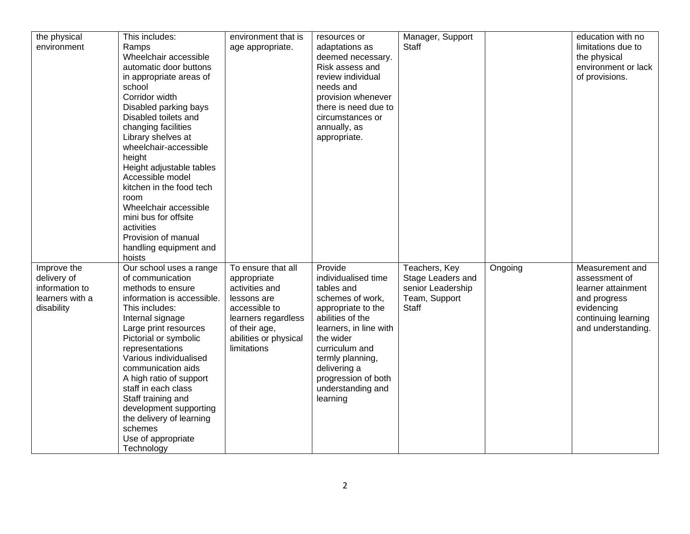| the physical<br>environment                                                   | This includes:<br>Ramps<br>Wheelchair accessible<br>automatic door buttons<br>in appropriate areas of<br>school<br>Corridor width<br>Disabled parking bays<br>Disabled toilets and<br>changing facilities<br>Library shelves at<br>wheelchair-accessible<br>height<br>Height adjustable tables<br>Accessible model<br>kitchen in the food tech<br>room<br>Wheelchair accessible<br>mini bus for offsite<br>activities<br>Provision of manual<br>handling equipment and<br>hoists | environment that is<br>age appropriate.                                                                                                                             | resources or<br>adaptations as<br>deemed necessary.<br>Risk assess and<br>review individual<br>needs and<br>provision whenever<br>there is need due to<br>circumstances or<br>annually, as<br>appropriate.                                                      | Manager, Support<br>Staff                                                                |         | education with no<br>limitations due to<br>the physical<br>environment or lack<br>of provisions.                                  |
|-------------------------------------------------------------------------------|----------------------------------------------------------------------------------------------------------------------------------------------------------------------------------------------------------------------------------------------------------------------------------------------------------------------------------------------------------------------------------------------------------------------------------------------------------------------------------|---------------------------------------------------------------------------------------------------------------------------------------------------------------------|-----------------------------------------------------------------------------------------------------------------------------------------------------------------------------------------------------------------------------------------------------------------|------------------------------------------------------------------------------------------|---------|-----------------------------------------------------------------------------------------------------------------------------------|
| Improve the<br>delivery of<br>information to<br>learners with a<br>disability | Our school uses a range<br>of communication<br>methods to ensure<br>information is accessible.<br>This includes:<br>Internal signage<br>Large print resources<br>Pictorial or symbolic<br>representations<br>Various individualised<br>communication aids<br>A high ratio of support<br>staff in each class<br>Staff training and<br>development supporting<br>the delivery of learning<br>schemes<br>Use of appropriate<br>Technology                                           | To ensure that all<br>appropriate<br>activities and<br>lessons are<br>accessible to<br>learners regardless<br>of their age,<br>abilities or physical<br>limitations | Provide<br>individualised time<br>tables and<br>schemes of work,<br>appropriate to the<br>abilities of the<br>learners, in line with<br>the wider<br>curriculum and<br>termly planning,<br>delivering a<br>progression of both<br>understanding and<br>learning | Teachers, Key<br>Stage Leaders and<br>senior Leadership<br>Team, Support<br><b>Staff</b> | Ongoing | Measurement and<br>assessment of<br>learner attainment<br>and progress<br>evidencing<br>continuing learning<br>and understanding. |